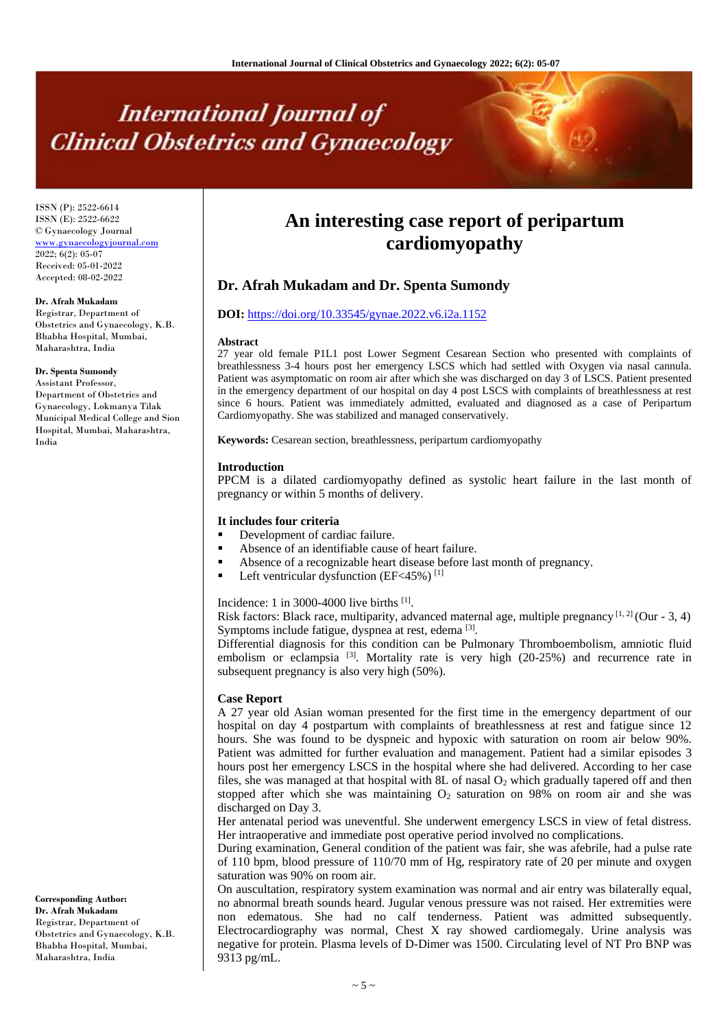# **International Journal of Clinical Obstetrics and Gynaecology**

ISSN (P): 2522-6614 ISSN (E): 2522-6622 © Gynaecology Journal <www.gynaecologyjournal.com>  $2022; 6(2): 05-07$ Received: 05-01-2022 Accepted: 08-02-2022

#### **Dr. Afrah Mukadam**

Registrar, Department of Obstetrics and Gynaecology, K.B. Bhabha Hospital, Mumbai, Maharashtra, India

#### **Dr. Spenta Sumondy**

Assistant Professor, Department of Obstetrics and Gynaecology, Lokmanya Tilak Municipal Medical College and Sion Hospital, Mumbai, Maharashtra, India

**Corresponding Author: Dr. Afrah Mukadam** Registrar, Department of Obstetrics and Gynaecology, K.B. Bhabha Hospital, Mumbai, Maharashtra, India

# **An interesting case report of peripartum cardiomyopathy**

# **Dr. Afrah Mukadam and Dr. Spenta Sumondy**

# **DOI:** <https://doi.org/10.33545/gynae.2022.v6.i2a.1152>

#### **Abstract**

27 year old female P1L1 post Lower Segment Cesarean Section who presented with complaints of breathlessness 3-4 hours post her emergency LSCS which had settled with Oxygen via nasal cannula. Patient was asymptomatic on room air after which she was discharged on day 3 of LSCS. Patient presented in the emergency department of our hospital on day 4 post LSCS with complaints of breathlessness at rest since 6 hours. Patient was immediately admitted, evaluated and diagnosed as a case of Peripartum Cardiomyopathy. She was stabilized and managed conservatively.

**Keywords:** Cesarean section, breathlessness, peripartum cardiomyopathy

#### **Introduction**

PPCM is a dilated cardiomyopathy defined as systolic heart failure in the last month of pregnancy or within 5 months of delivery.

#### **It includes four criteria**

- Development of cardiac failure.
- Absence of an identifiable cause of heart failure.
- Absence of a recognizable heart disease before last month of pregnancy.
- **Left ventricular dysfunction (EF<45%)**  $^{[1]}$

Incidence: 1 in 3000-4000 live births  $[1]$ .

Risk factors: Black race, multiparity, advanced maternal age, multiple pregnancy  $[1, 2]$  (Our - 3, 4) Symptoms include fatigue, dyspnea at rest, edema <a>[3]</a>.

Differential diagnosis for this condition can be Pulmonary Thromboembolism, amniotic fluid embolism or eclampsia  $\left[3\right]$ . Mortality rate is very high (20-25%) and recurrence rate in subsequent pregnancy is also very high (50%).

#### **Case Report**

A 27 year old Asian woman presented for the first time in the emergency department of our hospital on day 4 postpartum with complaints of breathlessness at rest and fatigue since 12 hours. She was found to be dyspneic and hypoxic with saturation on room air below 90%. Patient was admitted for further evaluation and management. Patient had a similar episodes 3 hours post her emergency LSCS in the hospital where she had delivered. According to her case files, she was managed at that hospital with 8L of nasal  $O<sub>2</sub>$  which gradually tapered off and then stopped after which she was maintaining  $O<sub>2</sub>$  saturation on 98% on room air and she was discharged on Day 3.

Her antenatal period was uneventful. She underwent emergency LSCS in view of fetal distress. Her intraoperative and immediate post operative period involved no complications.

During examination, General condition of the patient was fair, she was afebrile, had a pulse rate of 110 bpm, blood pressure of 110/70 mm of Hg, respiratory rate of 20 per minute and oxygen saturation was 90% on room air.

On auscultation, respiratory system examination was normal and air entry was bilaterally equal, no abnormal breath sounds heard. Jugular venous pressure was not raised. Her extremities were non edematous. She had no calf tenderness. Patient was admitted subsequently. Electrocardiography was normal, Chest X ray showed cardiomegaly. Urine analysis was negative for protein. Plasma levels of D-Dimer was 1500. Circulating level of NT Pro BNP was 9313 pg/mL.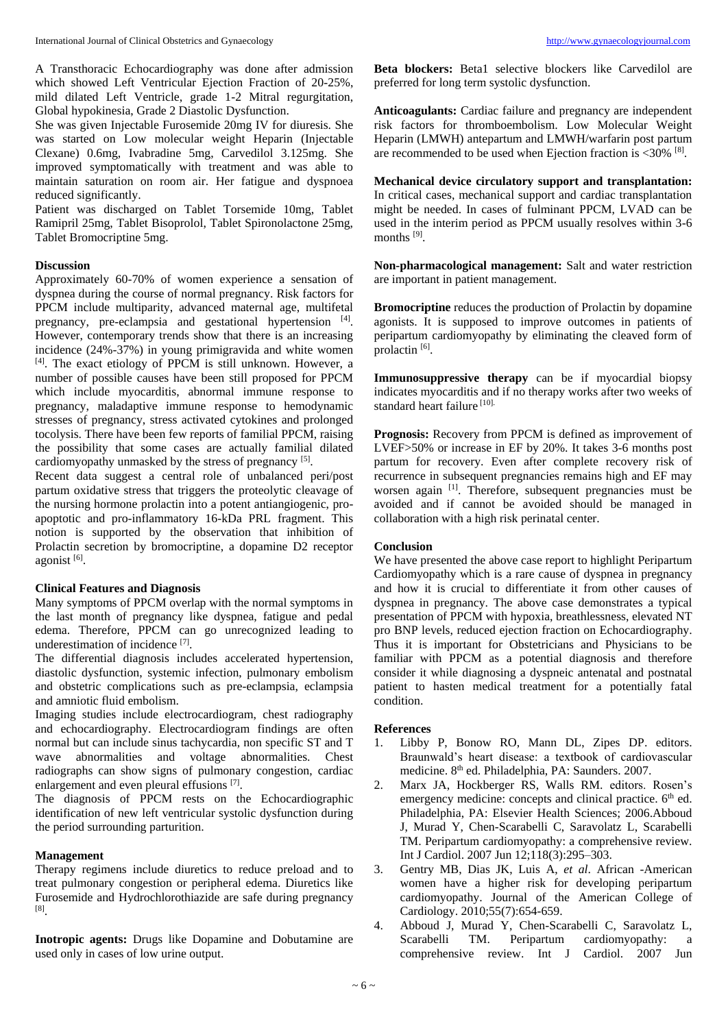A Transthoracic Echocardiography was done after admission which showed Left Ventricular Ejection Fraction of 20-25%, mild dilated Left Ventricle, grade 1-2 Mitral regurgitation, Global hypokinesia, Grade 2 Diastolic Dysfunction.

She was given Injectable Furosemide 20mg IV for diuresis. She was started on Low molecular weight Heparin (Injectable Clexane) 0.6mg, Ivabradine 5mg, Carvedilol 3.125mg. She improved symptomatically with treatment and was able to maintain saturation on room air. Her fatigue and dyspnoea reduced significantly.

Patient was discharged on Tablet Torsemide 10mg, Tablet Ramipril 25mg, Tablet Bisoprolol, Tablet Spironolactone 25mg, Tablet Bromocriptine 5mg.

### **Discussion**

Approximately 60-70% of women experience a sensation of dyspnea during the course of normal pregnancy. Risk factors for PPCM include multiparity, advanced maternal age, multifetal pregnancy, pre-eclampsia and gestational hypertension [4]. However, contemporary trends show that there is an increasing incidence (24%-37%) in young primigravida and white women [4] . The exact etiology of PPCM is still unknown. However, a number of possible causes have been still proposed for PPCM which include myocarditis, abnormal immune response to pregnancy, maladaptive immune response to hemodynamic stresses of pregnancy, stress activated cytokines and prolonged tocolysis. There have been few reports of familial PPCM, raising the possibility that some cases are actually familial dilated cardiomyopathy unmasked by the stress of pregnancy [5].

Recent data suggest a central role of unbalanced peri/post partum oxidative stress that triggers the proteolytic cleavage of the nursing hormone prolactin into a potent antiangiogenic, proapoptotic and pro-inflammatory 16-kDa PRL fragment. This notion is supported by the observation that inhibition of Prolactin secretion by bromocriptine, a dopamine D2 receptor agonist<sup>[6]</sup>.

#### **Clinical Features and Diagnosis**

Many symptoms of PPCM overlap with the normal symptoms in the last month of pregnancy like dyspnea, fatigue and pedal edema. Therefore, PPCM can go unrecognized leading to underestimation of incidence [7].

The differential diagnosis includes accelerated hypertension, diastolic dysfunction, systemic infection, pulmonary embolism and obstetric complications such as pre-eclampsia, eclampsia and amniotic fluid embolism.

Imaging studies include electrocardiogram, chest radiography and echocardiography. Electrocardiogram findings are often normal but can include sinus tachycardia, non specific ST and T wave abnormalities and voltage abnormalities. Chest radiographs can show signs of pulmonary congestion, cardiac enlargement and even pleural effusions<sup>[7]</sup>.

The diagnosis of PPCM rests on the Echocardiographic identification of new left ventricular systolic dysfunction during the period surrounding parturition.

## **Management**

Therapy regimens include diuretics to reduce preload and to treat pulmonary congestion or peripheral edema. Diuretics like Furosemide and Hydrochlorothiazide are safe during pregnancy [8] .

**Inotropic agents:** Drugs like Dopamine and Dobutamine are used only in cases of low urine output.

**Beta blockers:** Beta1 selective blockers like Carvedilol are preferred for long term systolic dysfunction.

**Anticoagulants:** Cardiac failure and pregnancy are independent risk factors for thromboembolism. Low Molecular Weight Heparin (LMWH) antepartum and LMWH/warfarin post partum are recommended to be used when Ejection fraction is <30% [8].

**Mechanical device circulatory support and transplantation:** In critical cases, mechanical support and cardiac transplantation might be needed. In cases of fulminant PPCM, LVAD can be used in the interim period as PPCM usually resolves within 3-6 months [9].

**Non-pharmacological management:** Salt and water restriction are important in patient management.

**Bromocriptine** reduces the production of Prolactin by dopamine agonists. It is supposed to improve outcomes in patients of peripartum cardiomyopathy by eliminating the cleaved form of prolactin<sup>[6]</sup>.

**Immunosuppressive therapy** can be if myocardial biopsy indicates myocarditis and if no therapy works after two weeks of standard heart failure<sup>[10].</sup>

**Prognosis:** Recovery from PPCM is defined as improvement of LVEF>50% or increase in EF by 20%. It takes 3-6 months post partum for recovery. Even after complete recovery risk of recurrence in subsequent pregnancies remains high and EF may worsen again [1]. Therefore, subsequent pregnancies must be avoided and if cannot be avoided should be managed in collaboration with a high risk perinatal center.

# **Conclusion**

We have presented the above case report to highlight Peripartum Cardiomyopathy which is a rare cause of dyspnea in pregnancy and how it is crucial to differentiate it from other causes of dyspnea in pregnancy. The above case demonstrates a typical presentation of PPCM with hypoxia, breathlessness, elevated NT pro BNP levels, reduced ejection fraction on Echocardiography. Thus it is important for Obstetricians and Physicians to be familiar with PPCM as a potential diagnosis and therefore consider it while diagnosing a dyspneic antenatal and postnatal patient to hasten medical treatment for a potentially fatal condition.

#### **References**

- 1. Libby P, Bonow RO, Mann DL, Zipes DP. editors. Braunwald's heart disease: a textbook of cardiovascular medicine. 8th ed. Philadelphia, PA: Saunders. 2007.
- 2. Marx JA, Hockberger RS, Walls RM. editors. Rosen's emergency medicine: concepts and clinical practice.  $6<sup>th</sup>$  ed. Philadelphia, PA: Elsevier Health Sciences; 2006.Abboud J, Murad Y, Chen-Scarabelli C, Saravolatz L, Scarabelli TM. Peripartum cardiomyopathy: a comprehensive review. Int J Cardiol. 2007 Jun 12;118(3):295–303.
- 3. Gentry MB, Dias JK, Luis A, *et al*. African -American women have a higher risk for developing peripartum cardiomyopathy. Journal of the American College of Cardiology. 2010;55(7):654-659.
- 4. Abboud J, Murad Y, Chen-Scarabelli C, Saravolatz L, Scarabelli TM. Peripartum cardiomyopathy: a comprehensive review. Int J Cardiol. 2007 Jun